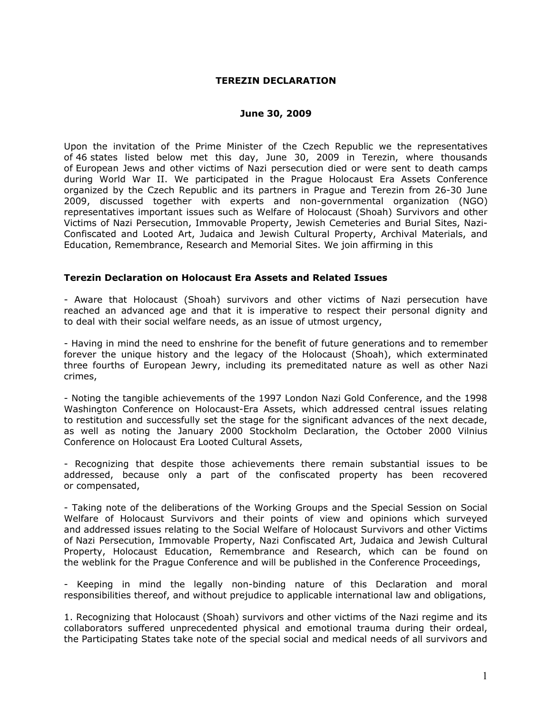#### **TEREZIN DECLARATION**

### **June 30, 2009**

Upon the invitation of the Prime Minister of the Czech Republic we the representatives of 46 states listed below met this day, June 30, 2009 in Terezin, where thousands of European Jews and other victims of Nazi persecution died or were sent to death camps during World War II. We participated in the Prague Holocaust Era Assets Conference organized by the Czech Republic and its partners in Prague and Terezin from 26-30 June 2009, discussed together with experts and non-governmental organization (NGO) representatives important issues such as Welfare of Holocaust (Shoah) Survivors and other Victims of Nazi Persecution, Immovable Property, Jewish Cemeteries and Burial Sites, Nazi-Confiscated and Looted Art, Judaica and Jewish Cultural Property, Archival Materials, and Education, Remembrance, Research and Memorial Sites. We join affirming in this

### **Terezin Declaration on Holocaust Era Assets and Related Issues**

- Aware that Holocaust (Shoah) survivors and other victims of Nazi persecution have reached an advanced age and that it is imperative to respect their personal dignity and to deal with their social welfare needs, as an issue of utmost urgency,

- Having in mind the need to enshrine for the benefit of future generations and to remember forever the unique history and the legacy of the Holocaust (Shoah), which exterminated three fourths of European Jewry, including its premeditated nature as well as other Nazi crimes,

- Noting the tangible achievements of the 1997 London Nazi Gold Conference, and the 1998 Washington Conference on Holocaust-Era Assets, which addressed central issues relating to restitution and successfully set the stage for the significant advances of the next decade, as well as noting the January 2000 Stockholm Declaration, the October 2000 Vilnius Conference on Holocaust Era Looted Cultural Assets,

- Recognizing that despite those achievements there remain substantial issues to be addressed, because only a part of the confiscated property has been recovered or compensated,

- Taking note of the deliberations of the Working Groups and the Special Session on Social Welfare of Holocaust Survivors and their points of view and opinions which surveyed and addressed issues relating to the Social Welfare of Holocaust Survivors and other Victims of Nazi Persecution, Immovable Property, Nazi Confiscated Art, Judaica and Jewish Cultural Property, Holocaust Education, Remembrance and Research, which can be found on the weblink for the Prague Conference and will be published in the Conference Proceedings,

- Keeping in mind the legally non-binding nature of this Declaration and moral responsibilities thereof, and without prejudice to applicable international law and obligations,

1. Recognizing that Holocaust (Shoah) survivors and other victims of the Nazi regime and its collaborators suffered unprecedented physical and emotional trauma during their ordeal, the Participating States take note of the special social and medical needs of all survivors and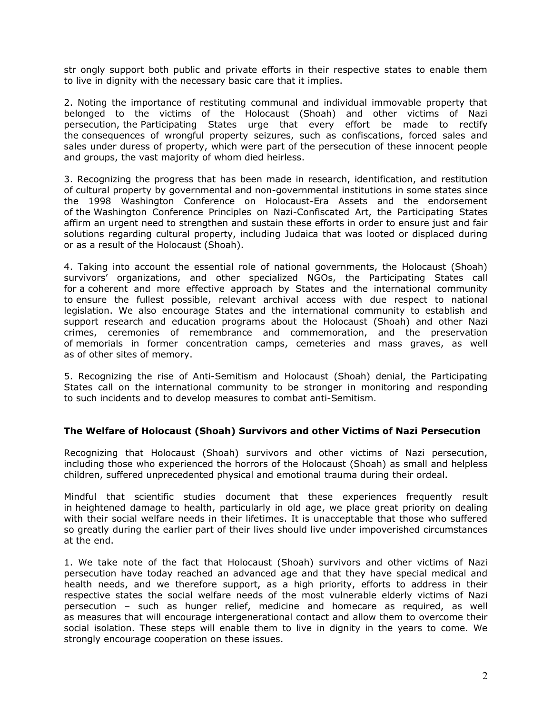str ongly support both public and private efforts in their respective states to enable them to live in dignity with the necessary basic care that it implies.

2. Noting the importance of restituting communal and individual immovable property that belonged to the victims of the Holocaust (Shoah) and other victims of Nazi persecution, the Participating States urge that every effort be made to rectify the consequences of wrongful property seizures, such as confiscations, forced sales and sales under duress of property, which were part of the persecution of these innocent people and groups, the vast majority of whom died heirless.

3. Recognizing the progress that has been made in research, identification, and restitution of cultural property by governmental and non-governmental institutions in some states since the 1998 Washington Conference on Holocaust-Era Assets and the endorsement of the Washington Conference Principles on Nazi-Confiscated Art, the Participating States affirm an urgent need to strengthen and sustain these efforts in order to ensure just and fair solutions regarding cultural property, including Judaica that was looted or displaced during or as a result of the Holocaust (Shoah).

4. Taking into account the essential role of national governments, the Holocaust (Shoah) survivors' organizations, and other specialized NGOs, the Participating States call for a coherent and more effective approach by States and the international community to ensure the fullest possible, relevant archival access with due respect to national legislation. We also encourage States and the international community to establish and support research and education programs about the Holocaust (Shoah) and other Nazi crimes, ceremonies of remembrance and commemoration, and the preservation of memorials in former concentration camps, cemeteries and mass graves, as well as of other sites of memory.

5. Recognizing the rise of Anti-Semitism and Holocaust (Shoah) denial, the Participating States call on the international community to be stronger in monitoring and responding to such incidents and to develop measures to combat anti-Semitism.

### **The Welfare of Holocaust (Shoah) Survivors and other Victims of Nazi Persecution**

Recognizing that Holocaust (Shoah) survivors and other victims of Nazi persecution, including those who experienced the horrors of the Holocaust (Shoah) as small and helpless children, suffered unprecedented physical and emotional trauma during their ordeal.

Mindful that scientific studies document that these experiences frequently result in heightened damage to health, particularly in old age, we place great priority on dealing with their social welfare needs in their lifetimes. It is unacceptable that those who suffered so greatly during the earlier part of their lives should live under impoverished circumstances at the end.

1. We take note of the fact that Holocaust (Shoah) survivors and other victims of Nazi persecution have today reached an advanced age and that they have special medical and health needs, and we therefore support, as a high priority, efforts to address in their respective states the social welfare needs of the most vulnerable elderly victims of Nazi persecution – such as hunger relief, medicine and homecare as required, as well as measures that will encourage intergenerational contact and allow them to overcome their social isolation. These steps will enable them to live in dignity in the years to come. We strongly encourage cooperation on these issues.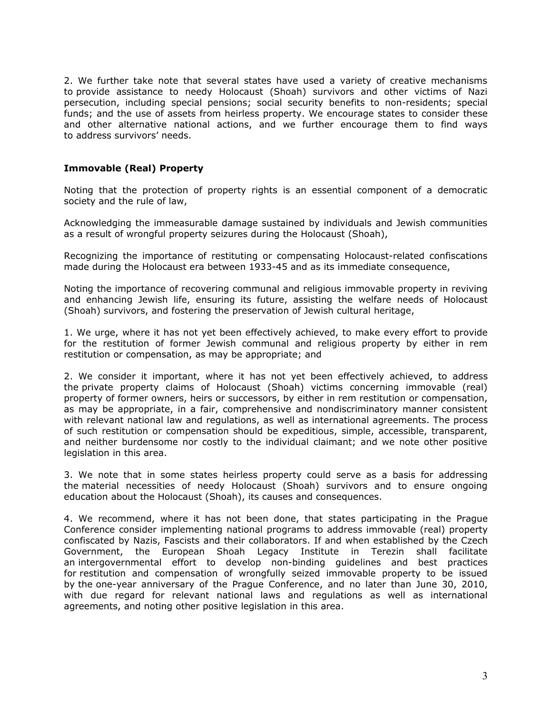2. We further take note that several states have used a variety of creative mechanisms to provide assistance to needy Holocaust (Shoah) survivors and other victims of Nazi persecution, including special pensions; social security benefits to non-residents; special funds; and the use of assets from heirless property. We encourage states to consider these and other alternative national actions, and we further encourage them to find ways to address survivors' needs.

# **Immovable (Real) Property**

Noting that the protection of property rights is an essential component of a democratic society and the rule of law,

Acknowledging the immeasurable damage sustained by individuals and Jewish communities as a result of wrongful property seizures during the Holocaust (Shoah),

Recognizing the importance of restituting or compensating Holocaust-related confiscations made during the Holocaust era between 1933-45 and as its immediate consequence,

Noting the importance of recovering communal and religious immovable property in reviving and enhancing Jewish life, ensuring its future, assisting the welfare needs of Holocaust (Shoah) survivors, and fostering the preservation of Jewish cultural heritage,

1. We urge, where it has not yet been effectively achieved, to make every effort to provide for the restitution of former Jewish communal and religious property by either in rem restitution or compensation, as may be appropriate; and

2. We consider it important, where it has not yet been effectively achieved, to address the private property claims of Holocaust (Shoah) victims concerning immovable (real) property of former owners, heirs or successors, by either in rem restitution or compensation, as may be appropriate, in a fair, comprehensive and nondiscriminatory manner consistent with relevant national law and regulations, as well as international agreements. The process of such restitution or compensation should be expeditious, simple, accessible, transparent, and neither burdensome nor costly to the individual claimant; and we note other positive legislation in this area.

3. We note that in some states heirless property could serve as a basis for addressing the material necessities of needy Holocaust (Shoah) survivors and to ensure ongoing education about the Holocaust (Shoah), its causes and consequences.

4. We recommend, where it has not been done, that states participating in the Prague Conference consider implementing national programs to address immovable (real) property confiscated by Nazis, Fascists and their collaborators. If and when established by the Czech Government, the European Shoah Legacy Institute in Terezin shall facilitate an intergovernmental effort to develop non-binding guidelines and best practices for restitution and compensation of wrongfully seized immovable property to be issued by the one-year anniversary of the Prague Conference, and no later than June 30, 2010, with due regard for relevant national laws and regulations as well as international agreements, and noting other positive legislation in this area.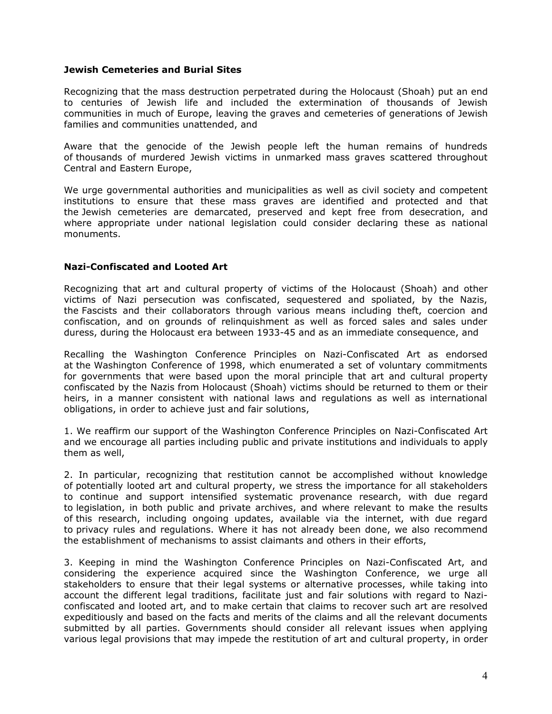### **Jewish Cemeteries and Burial Sites**

Recognizing that the mass destruction perpetrated during the Holocaust (Shoah) put an end to centuries of Jewish life and included the extermination of thousands of Jewish communities in much of Europe, leaving the graves and cemeteries of generations of Jewish families and communities unattended, and

Aware that the genocide of the Jewish people left the human remains of hundreds of thousands of murdered Jewish victims in unmarked mass graves scattered throughout Central and Eastern Europe,

We urge governmental authorities and municipalities as well as civil society and competent institutions to ensure that these mass graves are identified and protected and that the Jewish cemeteries are demarcated, preserved and kept free from desecration, and where appropriate under national legislation could consider declaring these as national monuments.

## **Nazi-Confiscated and Looted Art**

Recognizing that art and cultural property of victims of the Holocaust (Shoah) and other victims of Nazi persecution was confiscated, sequestered and spoliated, by the Nazis, the Fascists and their collaborators through various means including theft, coercion and confiscation, and on grounds of relinquishment as well as forced sales and sales under duress, during the Holocaust era between 1933-45 and as an immediate consequence, and

Recalling the Washington Conference Principles on Nazi-Confiscated Art as endorsed at the Washington Conference of 1998, which enumerated a set of voluntary commitments for governments that were based upon the moral principle that art and cultural property confiscated by the Nazis from Holocaust (Shoah) victims should be returned to them or their heirs, in a manner consistent with national laws and regulations as well as international obligations, in order to achieve just and fair solutions,

1. We reaffirm our support of the Washington Conference Principles on Nazi-Confiscated Art and we encourage all parties including public and private institutions and individuals to apply them as well,

2. In particular, recognizing that restitution cannot be accomplished without knowledge of potentially looted art and cultural property, we stress the importance for all stakeholders to continue and support intensified systematic provenance research, with due regard to legislation, in both public and private archives, and where relevant to make the results of this research, including ongoing updates, available via the internet, with due regard to privacy rules and regulations. Where it has not already been done, we also recommend the establishment of mechanisms to assist claimants and others in their efforts,

3. Keeping in mind the Washington Conference Principles on Nazi-Confiscated Art, and considering the experience acquired since the Washington Conference, we urge all stakeholders to ensure that their legal systems or alternative processes, while taking into account the different legal traditions, facilitate just and fair solutions with regard to Naziconfiscated and looted art, and to make certain that claims to recover such art are resolved expeditiously and based on the facts and merits of the claims and all the relevant documents submitted by all parties. Governments should consider all relevant issues when applying various legal provisions that may impede the restitution of art and cultural property, in order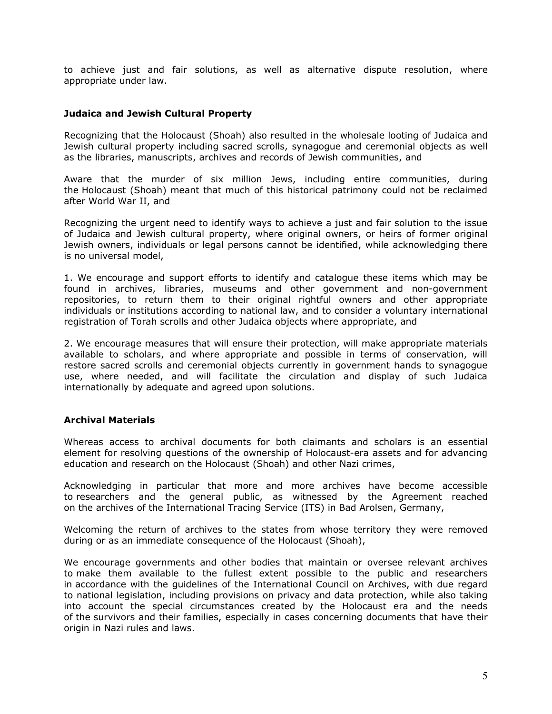to achieve just and fair solutions, as well as alternative dispute resolution, where appropriate under law.

## **Judaica and Jewish Cultural Property**

Recognizing that the Holocaust (Shoah) also resulted in the wholesale looting of Judaica and Jewish cultural property including sacred scrolls, synagogue and ceremonial objects as well as the libraries, manuscripts, archives and records of Jewish communities, and

Aware that the murder of six million Jews, including entire communities, during the Holocaust (Shoah) meant that much of this historical patrimony could not be reclaimed after World War II, and

Recognizing the urgent need to identify ways to achieve a just and fair solution to the issue of Judaica and Jewish cultural property, where original owners, or heirs of former original Jewish owners, individuals or legal persons cannot be identified, while acknowledging there is no universal model,

1. We encourage and support efforts to identify and catalogue these items which may be found in archives, libraries, museums and other government and non-government repositories, to return them to their original rightful owners and other appropriate individuals or institutions according to national law, and to consider a voluntary international registration of Torah scrolls and other Judaica objects where appropriate, and

2. We encourage measures that will ensure their protection, will make appropriate materials available to scholars, and where appropriate and possible in terms of conservation, will restore sacred scrolls and ceremonial objects currently in government hands to synagogue use, where needed, and will facilitate the circulation and display of such Judaica internationally by adequate and agreed upon solutions.

### **Archival Materials**

Whereas access to archival documents for both claimants and scholars is an essential element for resolving questions of the ownership of Holocaust-era assets and for advancing education and research on the Holocaust (Shoah) and other Nazi crimes,

Acknowledging in particular that more and more archives have become accessible to researchers and the general public, as witnessed by the Agreement reached on the archives of the International Tracing Service (ITS) in Bad Arolsen, Germany,

Welcoming the return of archives to the states from whose territory they were removed during or as an immediate consequence of the Holocaust (Shoah),

We encourage governments and other bodies that maintain or oversee relevant archives to make them available to the fullest extent possible to the public and researchers in accordance with the guidelines of the International Council on Archives, with due regard to national legislation, including provisions on privacy and data protection, while also taking into account the special circumstances created by the Holocaust era and the needs of the survivors and their families, especially in cases concerning documents that have their origin in Nazi rules and laws.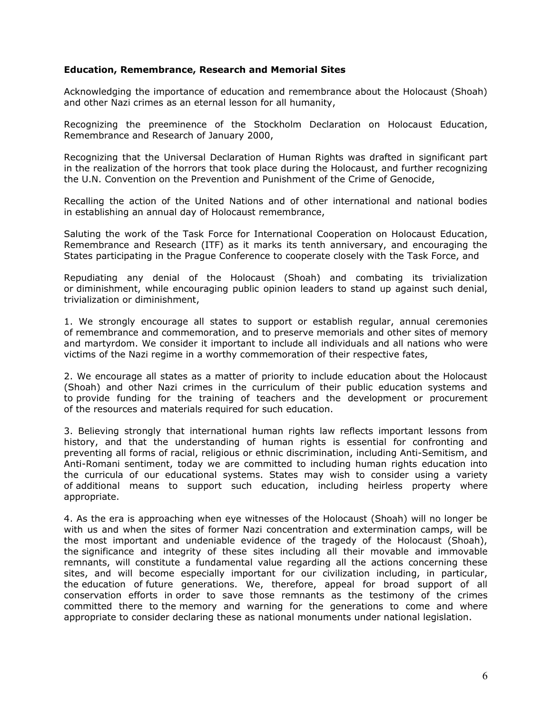## **Education, Remembrance, Research and Memorial Sites**

Acknowledging the importance of education and remembrance about the Holocaust (Shoah) and other Nazi crimes as an eternal lesson for all humanity,

Recognizing the preeminence of the Stockholm Declaration on Holocaust Education, Remembrance and Research of January 2000,

Recognizing that the Universal Declaration of Human Rights was drafted in significant part in the realization of the horrors that took place during the Holocaust, and further recognizing the U.N. Convention on the Prevention and Punishment of the Crime of Genocide,

Recalling the action of the United Nations and of other international and national bodies in establishing an annual day of Holocaust remembrance,

Saluting the work of the Task Force for International Cooperation on Holocaust Education, Remembrance and Research (ITF) as it marks its tenth anniversary, and encouraging the States participating in the Prague Conference to cooperate closely with the Task Force, and

Repudiating any denial of the Holocaust (Shoah) and combating its trivialization or diminishment, while encouraging public opinion leaders to stand up against such denial, trivialization or diminishment,

1. We strongly encourage all states to support or establish regular, annual ceremonies of remembrance and commemoration, and to preserve memorials and other sites of memory and martyrdom. We consider it important to include all individuals and all nations who were victims of the Nazi regime in a worthy commemoration of their respective fates,

2. We encourage all states as a matter of priority to include education about the Holocaust (Shoah) and other Nazi crimes in the curriculum of their public education systems and to provide funding for the training of teachers and the development or procurement of the resources and materials required for such education.

3. Believing strongly that international human rights law reflects important lessons from history, and that the understanding of human rights is essential for confronting and preventing all forms of racial, religious or ethnic discrimination, including Anti-Semitism, and Anti-Romani sentiment, today we are committed to including human rights education into the curricula of our educational systems. States may wish to consider using a variety of additional means to support such education, including heirless property where appropriate.

4. As the era is approaching when eye witnesses of the Holocaust (Shoah) will no longer be with us and when the sites of former Nazi concentration and extermination camps, will be the most important and undeniable evidence of the tragedy of the Holocaust (Shoah), the significance and integrity of these sites including all their movable and immovable remnants, will constitute a fundamental value regarding all the actions concerning these sites, and will become especially important for our civilization including, in particular, the education of future generations. We, therefore, appeal for broad support of all conservation efforts in order to save those remnants as the testimony of the crimes committed there to the memory and warning for the generations to come and where appropriate to consider declaring these as national monuments under national legislation.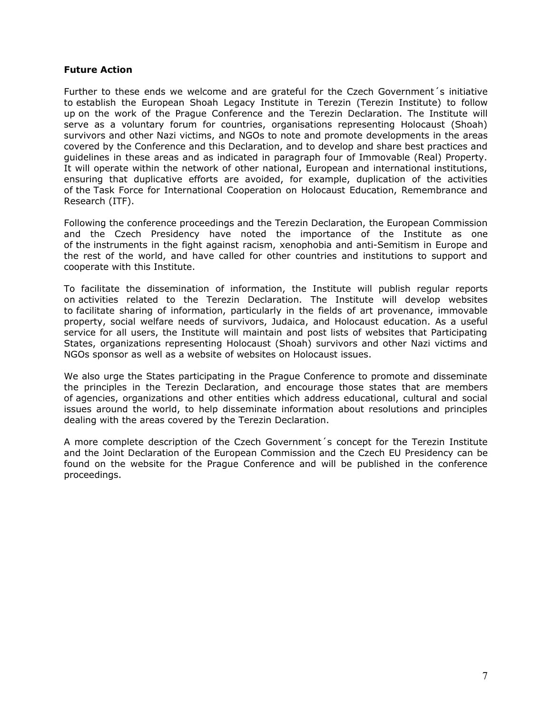## **Future Action**

Further to these ends we welcome and are grateful for the Czech Government´s initiative to establish the European Shoah Legacy Institute in Terezin (Terezin Institute) to follow up on the work of the Prague Conference and the Terezin Declaration. The Institute will serve as a voluntary forum for countries, organisations representing Holocaust (Shoah) survivors and other Nazi victims, and NGOs to note and promote developments in the areas covered by the Conference and this Declaration, and to develop and share best practices and guidelines in these areas and as indicated in paragraph four of Immovable (Real) Property. It will operate within the network of other national, European and international institutions, ensuring that duplicative efforts are avoided, for example, duplication of the activities of the Task Force for International Cooperation on Holocaust Education, Remembrance and Research (ITF).

Following the conference proceedings and the Terezin Declaration, the European Commission and the Czech Presidency have noted the importance of the Institute as one of the instruments in the fight against racism, xenophobia and anti-Semitism in Europe and the rest of the world, and have called for other countries and institutions to support and cooperate with this Institute.

To facilitate the dissemination of information, the Institute will publish regular reports on activities related to the Terezin Declaration. The Institute will develop websites to facilitate sharing of information, particularly in the fields of art provenance, immovable property, social welfare needs of survivors, Judaica, and Holocaust education. As a useful service for all users, the Institute will maintain and post lists of websites that Participating States, organizations representing Holocaust (Shoah) survivors and other Nazi victims and NGOs sponsor as well as a website of websites on Holocaust issues.

We also urge the States participating in the Prague Conference to promote and disseminate the principles in the Terezin Declaration, and encourage those states that are members of agencies, organizations and other entities which address educational, cultural and social issues around the world, to help disseminate information about resolutions and principles dealing with the areas covered by the Terezin Declaration.

A more complete description of the Czech Government´s concept for the Terezin Institute and the Joint Declaration of the European Commission and the Czech EU Presidency can be found on the website for the Prague Conference and will be published in the conference proceedings.